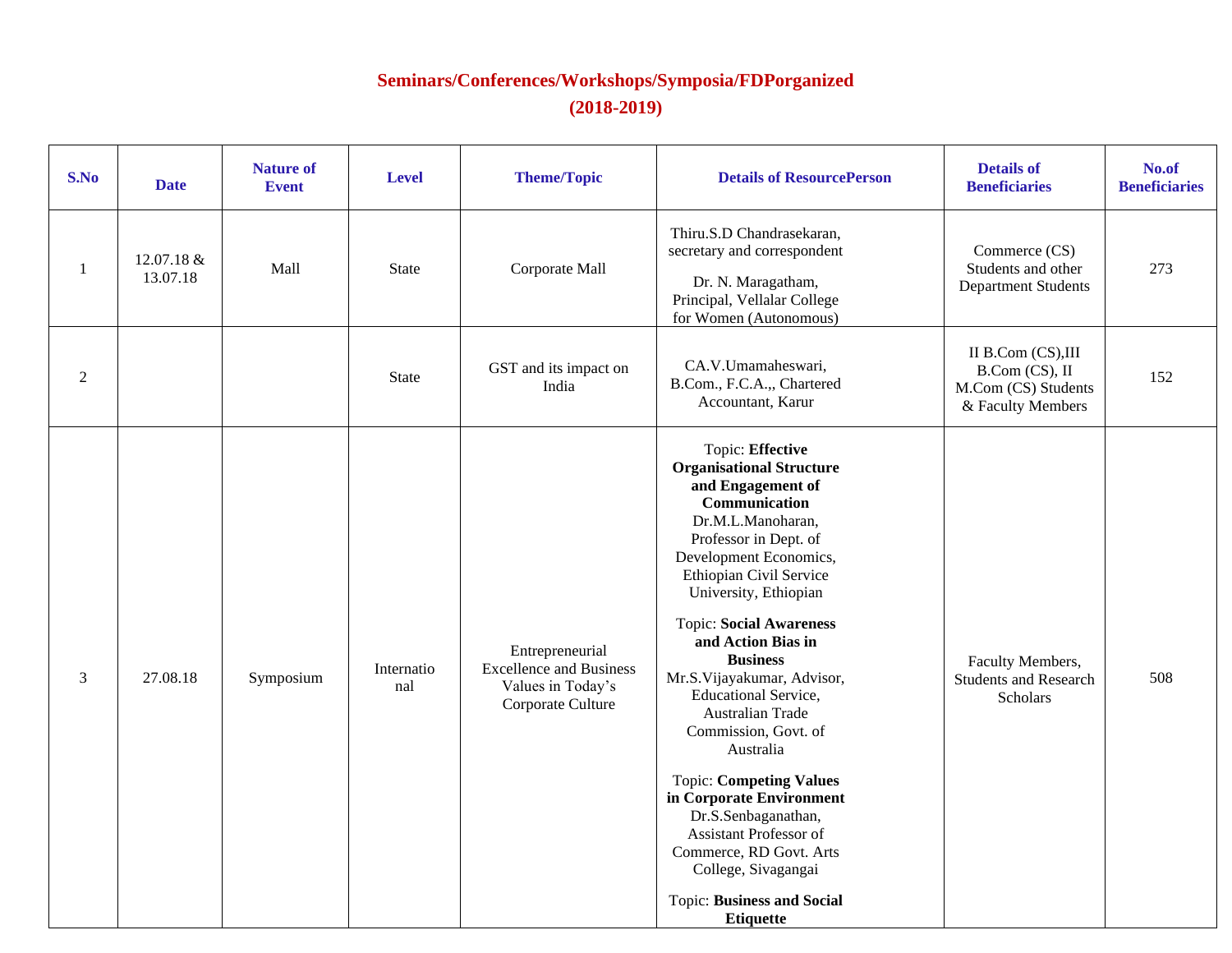## **Seminars/Conferences/Workshops/Symposia/FDPorganized (2018-2019)**

| S.No           | <b>Date</b>            | <b>Nature of</b><br><b>Event</b> | <b>Level</b>      | <b>Theme/Topic</b>                                                                          | <b>Details of ResourcePerson</b>                                                                                                                                                                                                                                                                                                                                                                                                                                                                                                                                                                                                                 | <b>Details of</b><br><b>Beneficiaries</b>                                       | No.of<br><b>Beneficiaries</b> |
|----------------|------------------------|----------------------------------|-------------------|---------------------------------------------------------------------------------------------|--------------------------------------------------------------------------------------------------------------------------------------------------------------------------------------------------------------------------------------------------------------------------------------------------------------------------------------------------------------------------------------------------------------------------------------------------------------------------------------------------------------------------------------------------------------------------------------------------------------------------------------------------|---------------------------------------------------------------------------------|-------------------------------|
| $\mathbf{1}$   | 12.07.18 &<br>13.07.18 | Mall                             | State             | Corporate Mall                                                                              | Thiru.S.D Chandrasekaran,<br>secretary and correspondent<br>Dr. N. Maragatham,<br>Principal, Vellalar College<br>for Women (Autonomous)                                                                                                                                                                                                                                                                                                                                                                                                                                                                                                          | Commerce (CS)<br>Students and other<br><b>Department Students</b>               | 273                           |
| $\overline{2}$ |                        |                                  | <b>State</b>      | GST and its impact on<br>India                                                              | CA.V.Umamaheswari,<br>B.Com., F.C.A.,, Chartered<br>Accountant, Karur                                                                                                                                                                                                                                                                                                                                                                                                                                                                                                                                                                            | II B.Com (CS),III<br>B.Com (CS), II<br>M.Com (CS) Students<br>& Faculty Members | 152                           |
| 3              | 27.08.18               | Symposium                        | Internatio<br>nal | Entrepreneurial<br><b>Excellence and Business</b><br>Values in Today's<br>Corporate Culture | Topic: Effective<br><b>Organisational Structure</b><br>and Engagement of<br>Communication<br>Dr.M.L.Manoharan,<br>Professor in Dept. of<br>Development Economics,<br>Ethiopian Civil Service<br>University, Ethiopian<br><b>Topic: Social Awareness</b><br>and Action Bias in<br><b>Business</b><br>Mr.S.Vijayakumar, Advisor,<br><b>Educational Service,</b><br>Australian Trade<br>Commission, Govt. of<br>Australia<br><b>Topic: Competing Values</b><br>in Corporate Environment<br>Dr.S.Senbaganathan,<br>Assistant Professor of<br>Commerce, RD Govt. Arts<br>College, Sivagangai<br><b>Topic: Business and Social</b><br><b>Etiquette</b> | Faculty Members,<br><b>Students and Research</b><br><b>Scholars</b>             | 508                           |